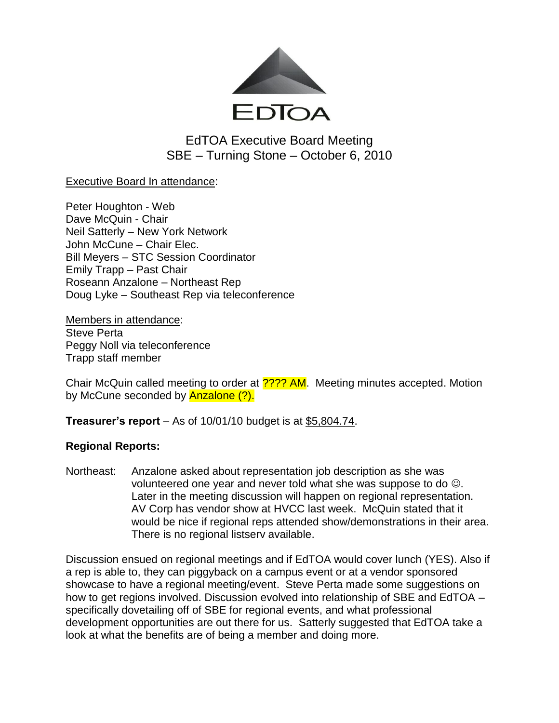

EdTOA Executive Board Meeting SBE – Turning Stone – October 6, 2010

## Executive Board In attendance:

Peter Houghton - Web Dave McQuin - Chair Neil Satterly – New York Network John McCune – Chair Elec. Bill Meyers – STC Session Coordinator Emily Trapp – Past Chair Roseann Anzalone – Northeast Rep Doug Lyke – Southeast Rep via teleconference

Members in attendance: Steve Perta Peggy Noll via teleconference Trapp staff member

Chair McQuin called meeting to order at **???? AM**. Meeting minutes accepted. Motion bv McCune seconded by **Anzalone (?).** 

**Treasurer's report** – As of 10/01/10 budget is at \$5,804.74.

## **Regional Reports:**

Northeast: Anzalone asked about representation job description as she was volunteered one year and never told what she was suppose to do  $\odot$ . Later in the meeting discussion will happen on regional representation. AV Corp has vendor show at HVCC last week. McQuin stated that it would be nice if regional reps attended show/demonstrations in their area. There is no regional listserv available.

Discussion ensued on regional meetings and if EdTOA would cover lunch (YES). Also if a rep is able to, they can piggyback on a campus event or at a vendor sponsored showcase to have a regional meeting/event. Steve Perta made some suggestions on how to get regions involved. Discussion evolved into relationship of SBE and EdTOA – specifically dovetailing off of SBE for regional events, and what professional development opportunities are out there for us. Satterly suggested that EdTOA take a look at what the benefits are of being a member and doing more.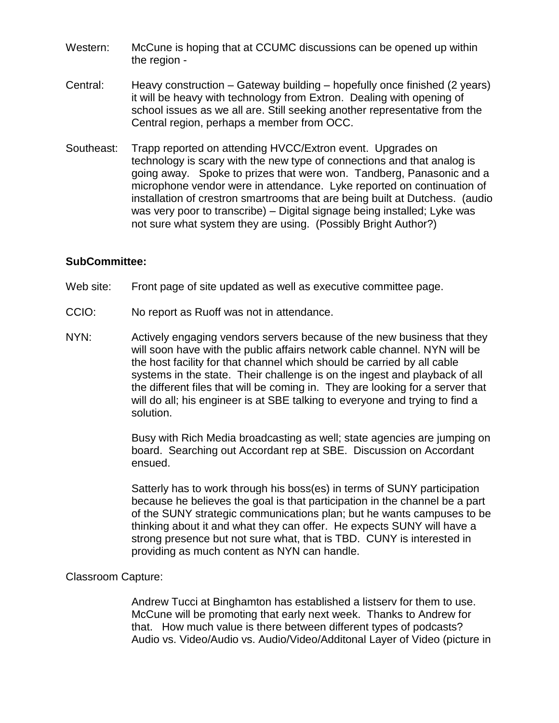- Western: McCune is hoping that at CCUMC discussions can be opened up within the region -
- Central: Heavy construction Gateway building hopefully once finished (2 years) it will be heavy with technology from Extron. Dealing with opening of school issues as we all are. Still seeking another representative from the Central region, perhaps a member from OCC.
- Southeast: Trapp reported on attending HVCC/Extron event. Upgrades on technology is scary with the new type of connections and that analog is going away. Spoke to prizes that were won. Tandberg, Panasonic and a microphone vendor were in attendance. Lyke reported on continuation of installation of crestron smartrooms that are being built at Dutchess. (audio was very poor to transcribe) – Digital signage being installed; Lyke was not sure what system they are using. (Possibly Bright Author?)

### **SubCommittee:**

- Web site: Front page of site updated as well as executive committee page.
- CCIO: No report as Ruoff was not in attendance.
- NYN: Actively engaging vendors servers because of the new business that they will soon have with the public affairs network cable channel. NYN will be the host facility for that channel which should be carried by all cable systems in the state. Their challenge is on the ingest and playback of all the different files that will be coming in. They are looking for a server that will do all; his engineer is at SBE talking to everyone and trying to find a solution.

Busy with Rich Media broadcasting as well; state agencies are jumping on board. Searching out Accordant rep at SBE. Discussion on Accordant ensued.

Satterly has to work through his boss(es) in terms of SUNY participation because he believes the goal is that participation in the channel be a part of the SUNY strategic communications plan; but he wants campuses to be thinking about it and what they can offer. He expects SUNY will have a strong presence but not sure what, that is TBD. CUNY is interested in providing as much content as NYN can handle.

#### Classroom Capture:

Andrew Tucci at Binghamton has established a listserv for them to use. McCune will be promoting that early next week. Thanks to Andrew for that. How much value is there between different types of podcasts? Audio vs. Video/Audio vs. Audio/Video/Additonal Layer of Video (picture in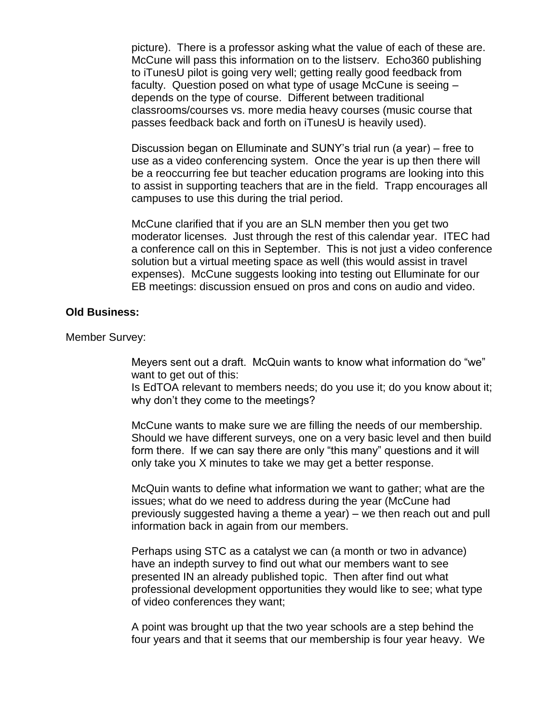picture). There is a professor asking what the value of each of these are. McCune will pass this information on to the listserv. Echo360 publishing to iTunesU pilot is going very well; getting really good feedback from faculty. Question posed on what type of usage McCune is seeing – depends on the type of course. Different between traditional classrooms/courses vs. more media heavy courses (music course that passes feedback back and forth on iTunesU is heavily used).

Discussion began on Elluminate and SUNY's trial run (a year) – free to use as a video conferencing system. Once the year is up then there will be a reoccurring fee but teacher education programs are looking into this to assist in supporting teachers that are in the field. Trapp encourages all campuses to use this during the trial period.

McCune clarified that if you are an SLN member then you get two moderator licenses. Just through the rest of this calendar year. ITEC had a conference call on this in September. This is not just a video conference solution but a virtual meeting space as well (this would assist in travel expenses). McCune suggests looking into testing out Elluminate for our EB meetings: discussion ensued on pros and cons on audio and video.

#### **Old Business:**

Member Survey:

Meyers sent out a draft. McQuin wants to know what information do "we" want to get out of this:

Is EdTOA relevant to members needs; do you use it; do you know about it; why don't they come to the meetings?

McCune wants to make sure we are filling the needs of our membership. Should we have different surveys, one on a very basic level and then build form there. If we can say there are only "this many" questions and it will only take you X minutes to take we may get a better response.

McQuin wants to define what information we want to gather; what are the issues; what do we need to address during the year (McCune had previously suggested having a theme a year) – we then reach out and pull information back in again from our members.

Perhaps using STC as a catalyst we can (a month or two in advance) have an indepth survey to find out what our members want to see presented IN an already published topic. Then after find out what professional development opportunities they would like to see; what type of video conferences they want;

A point was brought up that the two year schools are a step behind the four years and that it seems that our membership is four year heavy. We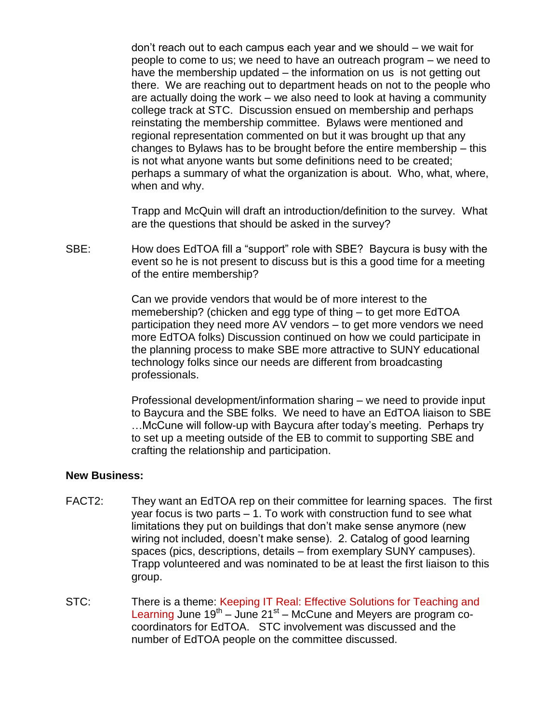don't reach out to each campus each year and we should – we wait for people to come to us; we need to have an outreach program – we need to have the membership updated – the information on us is not getting out there. We are reaching out to department heads on not to the people who are actually doing the work – we also need to look at having a community college track at STC. Discussion ensued on membership and perhaps reinstating the membership committee. Bylaws were mentioned and regional representation commented on but it was brought up that any changes to Bylaws has to be brought before the entire membership – this is not what anyone wants but some definitions need to be created; perhaps a summary of what the organization is about. Who, what, where, when and why.

Trapp and McQuin will draft an introduction/definition to the survey. What are the questions that should be asked in the survey?

SBE: How does EdTOA fill a "support" role with SBE? Baycura is busy with the event so he is not present to discuss but is this a good time for a meeting of the entire membership?

> Can we provide vendors that would be of more interest to the memebership? (chicken and egg type of thing – to get more EdTOA participation they need more AV vendors – to get more vendors we need more EdTOA folks) Discussion continued on how we could participate in the planning process to make SBE more attractive to SUNY educational technology folks since our needs are different from broadcasting professionals.

Professional development/information sharing – we need to provide input to Baycura and the SBE folks. We need to have an EdTOA liaison to SBE …McCune will follow-up with Baycura after today's meeting. Perhaps try to set up a meeting outside of the EB to commit to supporting SBE and crafting the relationship and participation.

#### **New Business:**

- FACT2: They want an EdTOA rep on their committee for learning spaces. The first year focus is two parts – 1. To work with construction fund to see what limitations they put on buildings that don't make sense anymore (new wiring not included, doesn't make sense). 2. Catalog of good learning spaces (pics, descriptions, details – from exemplary SUNY campuses). Trapp volunteered and was nominated to be at least the first liaison to this group.
- STC: There is a theme: Keeping IT Real: Effective Solutions for Teaching and Learning June  $19^{th}$  – June 21st – McCune and Meyers are program cocoordinators for EdTOA. STC involvement was discussed and the number of EdTOA people on the committee discussed.